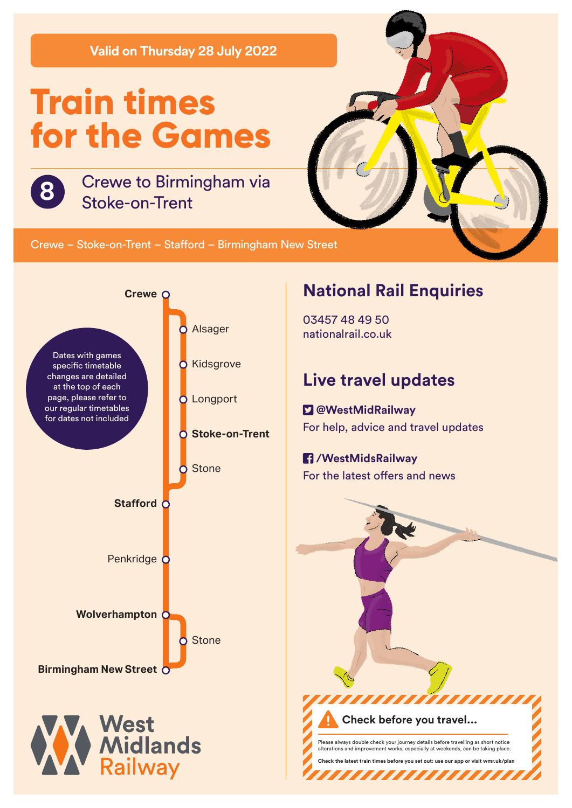